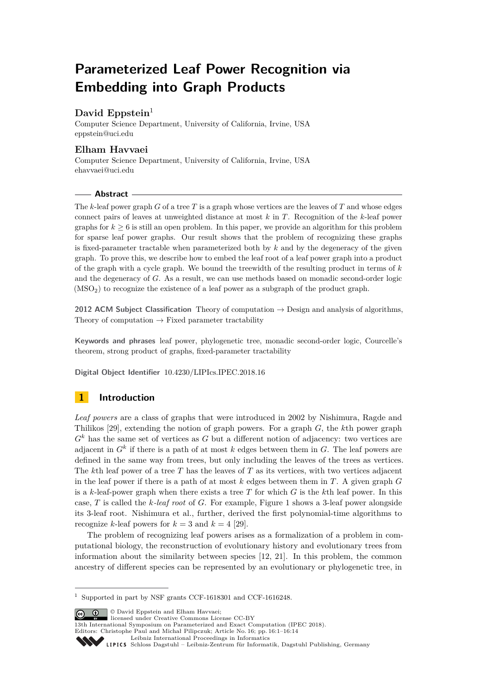# **Parameterized Leaf Power Recognition via Embedding into Graph Products**

# **David Eppstein**<sup>1</sup>

Computer Science Department, University of California, Irvine, USA [eppstein@uci.edu](mailto:eppstein@uci.edu)

# **Elham Havvaei**

Computer Science Department, University of California, Irvine, USA [ehavvaei@uci.edu](mailto:ehavvaei@uci.edu)

# **Abstract**

The *k*-leaf power graph *G* of a tree *T* is a graph whose vertices are the leaves of *T* and whose edges connect pairs of leaves at unweighted distance at most *k* in *T*. Recognition of the *k*-leaf power graphs for  $k \geq 6$  is still an open problem. In this paper, we provide an algorithm for this problem for sparse leaf power graphs. Our result shows that the problem of recognizing these graphs is fixed-parameter tractable when parameterized both by *k* and by the degeneracy of the given graph. To prove this, we describe how to embed the leaf root of a leaf power graph into a product of the graph with a cycle graph. We bound the treewidth of the resulting product in terms of *k* and the degeneracy of *G*. As a result, we can use methods based on monadic second-order logic  $(MSO<sub>2</sub>)$  to recognize the existence of a leaf power as a subgraph of the product graph.

**2012 ACM Subject Classification** Theory of computation → Design and analysis of algorithms, Theory of computation  $\rightarrow$  Fixed parameter tractability

**Keywords and phrases** leaf power, phylogenetic tree, monadic second-order logic, Courcelle's theorem, strong product of graphs, fixed-parameter tractability

**Digital Object Identifier** [10.4230/LIPIcs.IPEC.2018.16](https://doi.org/10.4230/LIPIcs.IPEC.2018.16)

# **1 Introduction**

*Leaf powers* are a class of graphs that were introduced in 2002 by Nishimura, Ragde and Thilikos [\[29\]](#page-13-0), extending the notion of graph powers. For a graph *G*, the *k*th power graph  $G<sup>k</sup>$  has the same set of vertices as  $G$  but a different notion of adjacency: two vertices are adjacent in *G<sup>k</sup>* if there is a path of at most *k* edges between them in *G*. The leaf powers are defined in the same way from trees, but only including the leaves of the trees as vertices. The *k*th leaf power of a tree *T* has the leaves of *T* as its vertices, with two vertices adjacent in the leaf power if there is a path of at most *k* edges between them in *T*. A given graph *G* is a *k*-leaf-power graph when there exists a tree *T* for which *G* is the *k*th leaf power. In this case, *T* is called the *k-leaf root* of *G*. For example, [Figure 1](#page-1-0) shows a 3-leaf power alongside its 3-leaf root. Nishimura et al., further, derived the first polynomial-time algorithms to recognize *k*-leaf powers for  $k = 3$  and  $k = 4$  [\[29\]](#page-13-0).

The problem of recognizing leaf powers arises as a formalization of a problem in computational biology, the reconstruction of evolutionary history and evolutionary trees from information about the similarity between species [\[12,](#page-12-0) [21\]](#page-12-1). In this problem, the common ancestry of different species can be represented by an evolutionary or phylogenetic tree, in

**C D**  $\circ$  David Eppstein and Elham Havvaei:

licensed under Creative Commons License CC-BY

13th International Symposium on Parameterized and Exact Computation (IPEC 2018). Editors: Christophe Paul and Michał Pilipczuk; Article No. 16; pp. 16:1–16[:14](#page-13-1)

<sup>&</sup>lt;sup>1</sup> Supported in part by NSF grants CCF-1618301 and CCF-1616248.

[Leibniz International Proceedings in Informatics](http://www.dagstuhl.de/lipics/)

[Schloss Dagstuhl – Leibniz-Zentrum für Informatik, Dagstuhl Publishing, Germany](http://www.dagstuhl.de)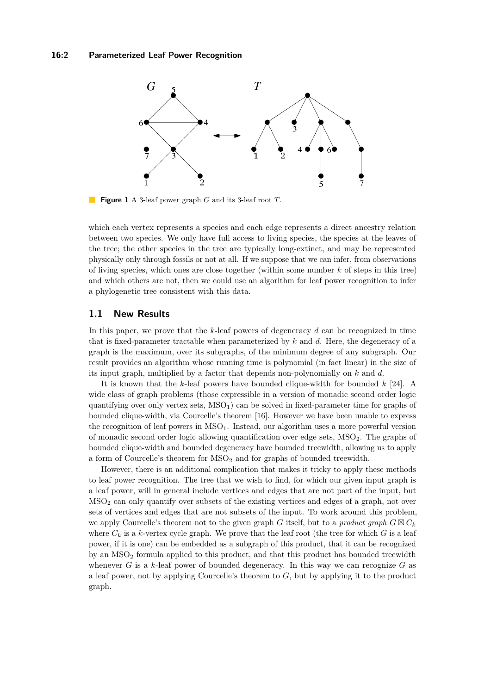<span id="page-1-0"></span>

**Figure 1** A 3-leaf power graph *G* and its 3-leaf root *T.*

which each vertex represents a species and each edge represents a direct ancestry relation between two species. We only have full access to living species, the species at the leaves of the tree; the other species in the tree are typically long-extinct, and may be represented physically only through fossils or not at all. If we suppose that we can infer, from observations of living species, which ones are close together (within some number *k* of steps in this tree) and which others are not, then we could use an algorithm for leaf power recognition to infer a phylogenetic tree consistent with this data.

# **1.1 New Results**

In this paper, we prove that the *k*-leaf powers of degeneracy *d* can be recognized in time that is fixed-parameter tractable when parameterized by *k* and *d*. Here, the degeneracy of a graph is the maximum, over its subgraphs, of the minimum degree of any subgraph. Our result provides an algorithm whose running time is polynomial (in fact linear) in the size of its input graph, multiplied by a factor that depends non-polynomially on *k* and *d*.

It is known that the *k*-leaf powers have bounded clique-width for bounded *k* [\[24\]](#page-12-2). A wide class of graph problems (those expressible in a version of monadic second order logic quantifying over only vertex sets,  $MSO<sub>1</sub>$  can be solved in fixed-parameter time for graphs of bounded clique-width, via Courcelle's theorem [\[16\]](#page-12-3). However we have been unable to express the recognition of leaf powers in  $MSO<sub>1</sub>$ . Instead, our algorithm uses a more powerful version of monadic second order logic allowing quantification over edge sets,  $MSO<sub>2</sub>$ . The graphs of bounded clique-width and bounded degeneracy have bounded treewidth, allowing us to apply a form of Courcelle's theorem for  $MSO<sub>2</sub>$  and for graphs of bounded treewidth.

However, there is an additional complication that makes it tricky to apply these methods to leaf power recognition. The tree that we wish to find, for which our given input graph is a leaf power, will in general include vertices and edges that are not part of the input, but  $MSO<sub>2</sub>$  can only quantify over subsets of the existing vertices and edges of a graph, not over sets of vertices and edges that are not subsets of the input. To work around this problem, we apply Courcelle's theorem not to the given graph *G* itself, but to a *product graph*  $G \boxtimes C_k$ where  $C_k$  is a *k*-vertex cycle graph. We prove that the leaf root (the tree for which  $G$  is a leaf power, if it is one) can be embedded as a subgraph of this product, that it can be recognized by an  $\text{MSO}_2$  formula applied to this product, and that this product has bounded treewidth whenever  $G$  is a  $k$ -leaf power of bounded degeneracy. In this way we can recognize  $G$  as a leaf power, not by applying Courcelle's theorem to *G*, but by applying it to the product graph.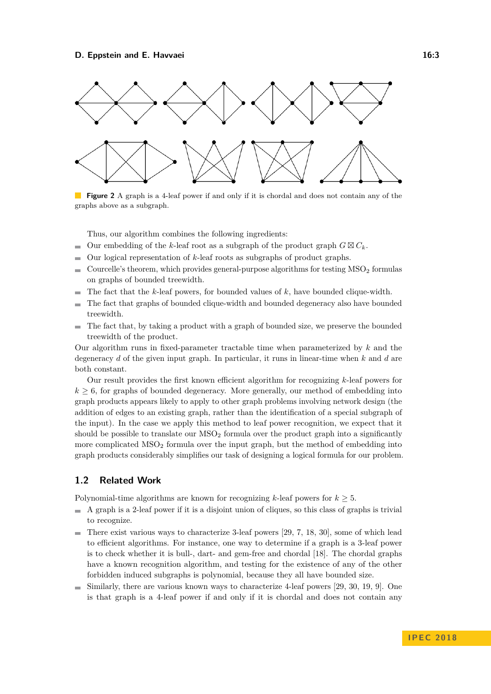#### **D. Eppstein and E. Havvaei 16:3 16:3**

<span id="page-2-0"></span>

**Figure 2** A graph is a 4-leaf power if and only if it is chordal and does not contain any of the graphs above as a subgraph.

Thus, our algorithm combines the following ingredients:

- Our embedding of the *k*-leaf root as a subgraph of the product graph  $G \boxtimes C_k$ .  $\mathbf{r}$
- Our logical representation of *k*-leaf roots as subgraphs of product graphs.  $\blacksquare$
- Courcelle's theorem, which provides general-purpose algorithms for testing  $MSO<sub>2</sub>$  formulas  $\sim$ on graphs of bounded treewidth.
- The fact that the *k*-leaf powers, for bounded values of *k*, have bounded clique-width.  $\overline{a}$
- The fact that graphs of bounded clique-width and bounded degeneracy also have bounded treewidth.
- The fact that, by taking a product with a graph of bounded size, we preserve the bounded  $\sim$ treewidth of the product.

Our algorithm runs in fixed-parameter tractable time when parameterized by *k* and the degeneracy *d* of the given input graph. In particular, it runs in linear-time when *k* and *d* are both constant.

Our result provides the first known efficient algorithm for recognizing *k*-leaf powers for  $k \geq 6$ , for graphs of bounded degeneracy. More generally, our method of embedding into graph products appears likely to apply to other graph problems involving network design (the addition of edges to an existing graph, rather than the identification of a special subgraph of the input). In the case we apply this method to leaf power recognition, we expect that it should be possible to translate our  $MSO<sub>2</sub>$  formula over the product graph into a significantly more complicated  $MSO<sub>2</sub>$  formula over the input graph, but the method of embedding into graph products considerably simplifies our task of designing a logical formula for our problem.

# **1.2 Related Work**

Polynomial-time algorithms are known for recognizing  $k$ -leaf powers for  $k \geq 5$ .

- $\blacksquare$  A graph is a 2-leaf power if it is a disjoint union of cliques, so this class of graphs is trivial to recognize.
- $\blacksquare$  There exist various ways to characterize 3-leaf powers [\[29,](#page-13-0) [7,](#page-11-0) [18,](#page-12-4) [30\]](#page-13-2), some of which lead to efficient algorithms. For instance, one way to determine if a graph is a 3-leaf power is to check whether it is bull-, dart- and gem-free and chordal [\[18\]](#page-12-4). The chordal graphs have a known recognition algorithm, and testing for the existence of any of the other forbidden induced subgraphs is polynomial, because they all have bounded size.
- $\blacksquare$  Similarly, there are various known ways to characterize 4-leaf powers [\[29,](#page-13-0) [30,](#page-13-2) [19,](#page-12-5) [9\]](#page-11-1). One is that graph is a 4-leaf power if and only if it is chordal and does not contain any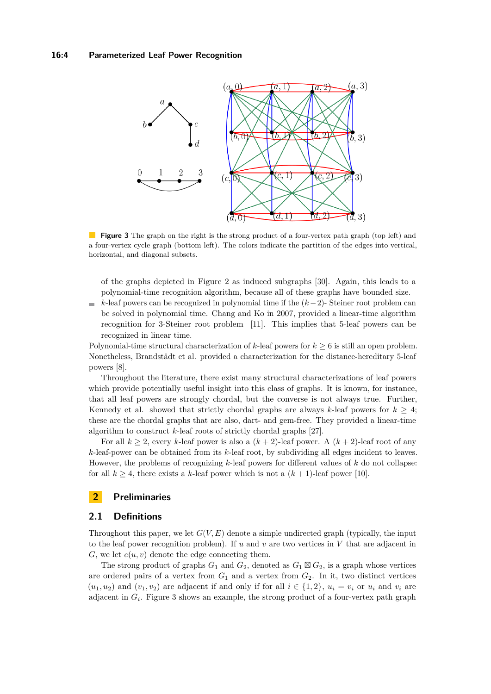<span id="page-3-0"></span>

**Figure 3** The graph on the right is the strong product of a four-vertex path graph (top left) and a four-vertex cycle graph (bottom left). The colors indicate the partition of the edges into vertical, horizontal, and diagonal subsets.

of the graphs depicted in [Figure 2](#page-2-0) as induced subgraphs [\[30\]](#page-13-2). Again, this leads to a polynomial-time recognition algorithm, because all of these graphs have bounded size.

*k*-leaf powers can be recognized in polynomial time if the (*k*−2)- Steiner root problem can be solved in polynomial time. Chang and Ko in 2007, provided a linear-time algorithm recognition for 3-Steiner root problem [\[11\]](#page-12-6). This implies that 5-leaf powers can be recognized in linear time.

Polynomial-time structural characterization of  $k$ -leaf powers for  $k \geq 6$  is still an open problem. Nonetheless, Brandstädt et al. provided a characterization for the distance-hereditary 5-leaf powers [\[8\]](#page-11-2).

Throughout the literature, there exist many structural characterizations of leaf powers which provide potentially useful insight into this class of graphs. It is known, for instance, that all leaf powers are strongly chordal, but the converse is not always true. Further, Kennedy et al. showed that strictly chordal graphs are always  $k$ -leaf powers for  $k \geq 4$ ; these are the chordal graphs that are also, dart- and gem-free. They provided a linear-time algorithm to construct *k*-leaf roots of strictly chordal graphs [\[27\]](#page-13-3).

For all  $k \geq 2$ , every *k*-leaf power is also a  $(k+2)$ -leaf power. A  $(k+2)$ -leaf root of any *k*-leaf-power can be obtained from its *k*-leaf root, by subdividing all edges incident to leaves. However, the problems of recognizing *k*-leaf powers for different values of *k* do not collapse: for all  $k > 4$ , there exists a k-leaf power which is not a  $(k + 1)$ -leaf power [\[10\]](#page-12-7).

# **2 Preliminaries**

#### **2.1 Definitions**

Throughout this paper, we let  $G(V, E)$  denote a simple undirected graph (typically, the input to the leaf power recognition problem). If *u* and *v* are two vertices in *V* that are adjacent in  $G$ , we let  $e(u, v)$  denote the edge connecting them.

The strong product of graphs  $G_1$  and  $G_2$ , denoted as  $G_1 \boxtimes G_2$ , is a graph whose vertices are ordered pairs of a vertex from  $G_1$  and a vertex from  $G_2$ . In it, two distinct vertices  $(u_1, u_2)$  and  $(v_1, v_2)$  are adjacent if and only if for all  $i \in \{1, 2\}$ ,  $u_i = v_i$  or  $u_i$  and  $v_i$  are adjacent in *G<sup>i</sup>* . [Figure 3](#page-3-0) shows an example, the strong product of a four-vertex path graph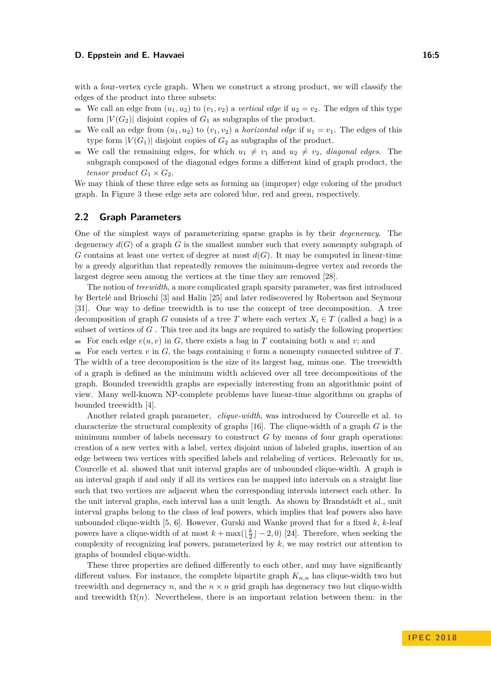#### **D. Eppstein and E. Havvaei 16:5** and 16:5

with a four-vertex cycle graph. When we construct a strong product, we will classify the edges of the product into three subsets:

- We call an edge from  $(u_1, u_2)$  to  $(v_1, v_2)$  a *vertical edge* if  $u_2 = v_2$ . The edges of this type  $\overline{a}$ form  $|V(G_2)|$  disjoint copies of  $G_1$  as subgraphs of the product.
- We call an edge from  $(u_1, u_2)$  to  $(v_1, v_2)$  a *horizontal edge* if  $u_1 = v_1$ . The edges of this  $\blacksquare$ type form  $|V(G_1)|$  disjoint copies of  $G_2$  as subgraphs of the product.
- We call the remaining edges, for which  $u_1 \neq v_1$  and  $u_2 \neq v_2$ , *diagonal edges*. The  $\sim$ subgraph composed of the diagonal edges forms a different kind of graph product, the *tensor product*  $G_1 \times G_2$ .

We may think of these three edge sets as forming an (improper) edge coloring of the product graph. In [Figure 3](#page-3-0) these edge sets are colored blue, red and green, respectively.

### **2.2 Graph Parameters**

One of the simplest ways of parameterizing sparse graphs is by their *degeneracy*. The degeneracy  $d(G)$  of a graph G is the smallest number such that every nonempty subgraph of *G* contains at least one vertex of degree at most  $d(G)$ . It may be computed in linear-time by a greedy algorithm that repeatedly removes the minimum-degree vertex and records the largest degree seen among the vertices at the time they are removed [\[28\]](#page-13-4).

The notion of *treewidth*, a more complicated graph sparsity parameter, was first introduced by Bertelé and Brioschi [\[3\]](#page-11-3) and Halin [\[25\]](#page-12-8) and later rediscovered by Robertson and Seymour [\[31\]](#page-13-5). One way to define treewidth is to use the concept of tree decomposition. A tree decomposition of graph *G* consists of a tree *T* where each vertex  $X_i \in T$  (called a bag) is a subset of vertices of *G*. This tree and its bags are required to satisfy the following properties: For each edge  $e(u, v)$  in *G*, there exists a bag in *T* containing both *u* and *v*; and

For each vertex  $v$  in  $G$ , the bags containing  $v$  form a nonempty connected subtree of  $T$ . The width of a tree decomposition is the size of its largest bag, minus one. The treewidth of a graph is defined as the minimum width achieved over all tree decompositions of the graph. Bounded treewidth graphs are especially interesting from an algorithmic point of view. Many well-known NP-complete problems have linear-time algorithms on graphs of bounded treewidth [\[4\]](#page-11-4).

Another related graph parameter, *clique-width*, was introduced by Courcelle et al. to characterize the structural complexity of graphs [\[16\]](#page-12-3). The clique-width of a graph *G* is the minimum number of labels necessary to construct *G* by means of four graph operations: creation of a new vertex with a label, vertex disjoint union of labeled graphs, insertion of an edge between two vertices with specified labels and relabeling of vertices. Relevantly for us, Courcelle et al. showed that unit interval graphs are of unbounded clique-width. A graph is an interval graph if and only if all its vertices can be mapped into intervals on a straight line such that two vertices are adjacent when the corresponding intervals intersect each other. In the unit interval graphs, each interval has a unit length. As shown by Brandstädt et al., unit interval graphs belong to the class of leaf powers, which implies that leaf powers also have unbounded clique-width [\[5,](#page-11-5) [6\]](#page-11-6). However, Gurski and Wanke proved that for a fixed *k*, *k*-leaf powers have a clique-width of at most  $k + \max(\lfloor \frac{k}{2} \rfloor - 2, 0)$  [\[24\]](#page-12-2). Therefore, when seeking the complexity of recognizing leaf powers, parameterized by *k*, we may restrict our attention to graphs of bounded clique-width.

These three properties are defined differently to each other, and may have significantly different values. For instance, the complete bipartite graph  $K_{n,n}$  has clique-width two but treewidth and degeneracy  $n$ , and the  $n \times n$  grid graph has degeneracy two but clique-width and treewidth  $\Omega(n)$ . Nevertheless, there is an important relation between them: in the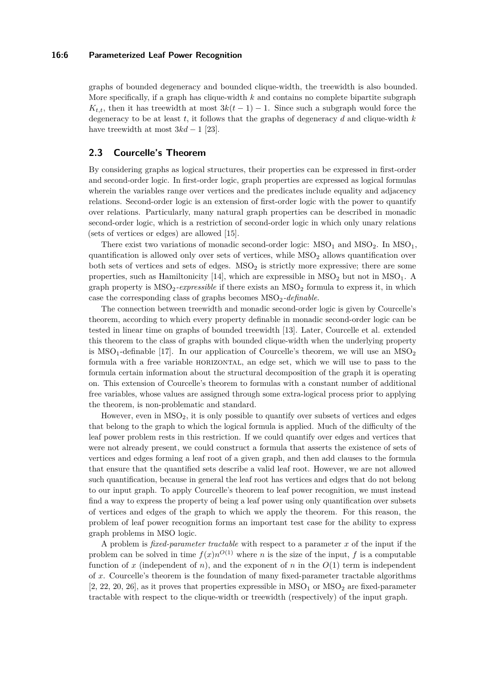#### **16:6 Parameterized Leaf Power Recognition**

graphs of bounded degeneracy and bounded clique-width, the treewidth is also bounded. More specifically, if a graph has clique-width *k* and contains no complete bipartite subgraph  $K_{t,t}$ , then it has treewidth at most  $3k(t-1)-1$ . Since such a subgraph would force the degeneracy to be at least *t*, it follows that the graphs of degeneracy *d* and clique-width *k* have treewidth at most  $3kd - 1$  [\[23\]](#page-12-9).

# **2.3 Courcelle's Theorem**

By considering graphs as logical structures, their properties can be expressed in first-order and second-order logic. In first-order logic, graph properties are expressed as logical formulas wherein the variables range over vertices and the predicates include equality and adjacency relations. Second-order logic is an extension of first-order logic with the power to quantify over relations. Particularly, many natural graph properties can be described in monadic second-order logic, which is a restriction of second-order logic in which only unary relations (sets of vertices or edges) are allowed [\[15\]](#page-12-10).

There exist two variations of monadic second-order logic:  $MSO<sub>1</sub>$  and  $MSO<sub>2</sub>$ . In  $MSO<sub>1</sub>$ , quantification is allowed only over sets of vertices, while  $MSO<sub>2</sub>$  allows quantification over both sets of vertices and sets of edges.  $MSO<sub>2</sub>$  is strictly more expressive; there are some properties, such as Hamiltonicity [\[14\]](#page-12-11), which are expressible in  $MSO<sub>2</sub>$  but not in  $MSO<sub>1</sub>$ . A graph property is MSO2*-expressible* if there exists an MSO<sup>2</sup> formula to express it, in which case the corresponding class of graphs becomes  $MSO<sub>2</sub>$ *-definable*.

The connection between treewidth and monadic second-order logic is given by Courcelle's theorem, according to which every property definable in monadic second-order logic can be tested in linear time on graphs of bounded treewidth [\[13\]](#page-12-12). Later, Courcelle et al. extended this theorem to the class of graphs with bounded clique-width when the underlying property is  $MSO_1$ -definable [\[17\]](#page-12-13). In our application of Courcelle's theorem, we will use an  $MSO_2$ formula with a free variable horizontal, an edge set, which we will use to pass to the formula certain information about the structural decomposition of the graph it is operating on. This extension of Courcelle's theorem to formulas with a constant number of additional free variables, whose values are assigned through some extra-logical process prior to applying the theorem, is non-problematic and standard.

However, even in  $MSO<sub>2</sub>$ , it is only possible to quantify over subsets of vertices and edges that belong to the graph to which the logical formula is applied. Much of the difficulty of the leaf power problem rests in this restriction. If we could quantify over edges and vertices that were not already present, we could construct a formula that asserts the existence of sets of vertices and edges forming a leaf root of a given graph, and then add clauses to the formula that ensure that the quantified sets describe a valid leaf root. However, we are not allowed such quantification, because in general the leaf root has vertices and edges that do not belong to our input graph. To apply Courcelle's theorem to leaf power recognition, we must instead find a way to express the property of being a leaf power using only quantification over subsets of vertices and edges of the graph to which we apply the theorem. For this reason, the problem of leaf power recognition forms an important test case for the ability to express graph problems in MSO logic.

A problem is *fixed-parameter tractable* with respect to a parameter *x* of the input if the problem can be solved in time  $f(x)n^{O(1)}$  where *n* is the size of the input, *f* is a computable function of x (independent of  $n$ ), and the exponent of  $n$  in the  $O(1)$  term is independent of *x*. Courcelle's theorem is the foundation of many fixed-parameter tractable algorithms [\[2,](#page-11-7) [22,](#page-12-14) [20,](#page-12-15) [26\]](#page-12-16), as it proves that properties expressible in  $MSO<sub>1</sub>$  or  $MSO<sub>2</sub>$  are fixed-parameter tractable with respect to the clique-width or treewidth (respectively) of the input graph.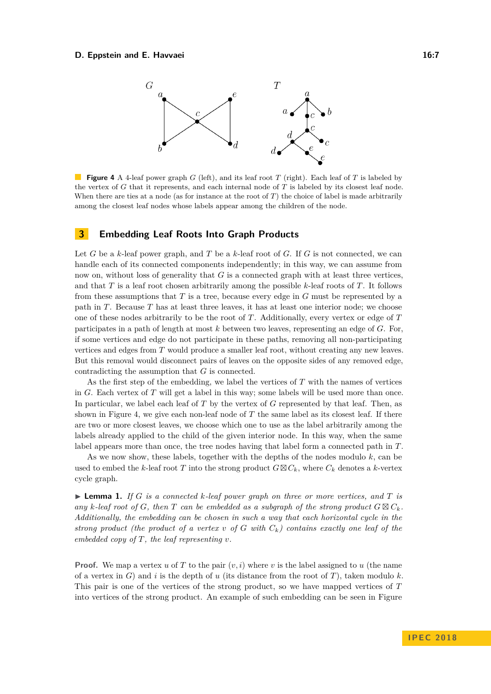#### <span id="page-6-0"></span>**D. Eppstein and E. Havvaei 16:7** and 16:7



**Figure 4** A 4-leaf power graph *G* (left), and its leaf root *T* (right). Each leaf of *T* is labeled by the vertex of *G* that it represents, and each internal node of *T* is labeled by its closest leaf node. When there are ties at a node (as for instance at the root of *T*) the choice of label is made arbitrarily among the closest leaf nodes whose labels appear among the children of the node.

# **3 Embedding Leaf Roots Into Graph Products**

Let *G* be a *k*-leaf power graph, and *T* be a *k*-leaf root of *G*. If *G* is not connected, we can handle each of its connected components independently; in this way, we can assume from now on, without loss of generality that *G* is a connected graph with at least three vertices, and that *T* is a leaf root chosen arbitrarily among the possible *k*-leaf roots of *T*. It follows from these assumptions that *T* is a tree, because every edge in *G* must be represented by a path in *T*. Because *T* has at least three leaves, it has at least one interior node; we choose one of these nodes arbitrarily to be the root of *T*. Additionally, every vertex or edge of *T* participates in a path of length at most *k* between two leaves, representing an edge of *G*. For, if some vertices and edge do not participate in these paths, removing all non-participating vertices and edges from *T* would produce a smaller leaf root, without creating any new leaves. But this removal would disconnect pairs of leaves on the opposite sides of any removed edge, contradicting the assumption that *G* is connected.

As the first step of the embedding, we label the vertices of *T* with the names of vertices in *G*. Each vertex of *T* will get a label in this way; some labels will be used more than once. In particular, we label each leaf of *T* by the vertex of *G* represented by that leaf. Then, as shown in [Figure 4,](#page-6-0) we give each non-leaf node of  $T$  the same label as its closest leaf. If there are two or more closest leaves, we choose which one to use as the label arbitrarily among the labels already applied to the child of the given interior node. In this way, when the same label appears more than once, the tree nodes having that label form a connected path in *T*.

As we now show, these labels, together with the depths of the nodes modulo  $k$ , can be used to embed the *k*-leaf root *T* into the strong product  $G \boxtimes C_k$ , where  $C_k$  denotes a *k*-vertex cycle graph.

<span id="page-6-1"></span> $\blacktriangleright$  **Lemma 1.** If G is a connected k-leaf power graph on three or more vertices, and T is any *k*-leaf root of *G*, then *T* can be embedded as a subgraph of the strong product  $G \boxtimes C_k$ . *Additionally, the embedding can be chosen in such a way that each horizontal cycle in the strong product (the product of a vertex v of G with*  $C_k$ ) contains exactly one leaf of the *embedded copy of T, the leaf representing v.*

**Proof.** We map a vertex *u* of *T* to the pair  $(v, i)$  where *v* is the label assigned to *u* (the name of a vertex in *G*) and *i* is the depth of *u* (its distance from the root of *T*), taken modulo *k*. This pair is one of the vertices of the strong product, so we have mapped vertices of *T* into vertices of the strong product. An example of such embedding can be seen in Figure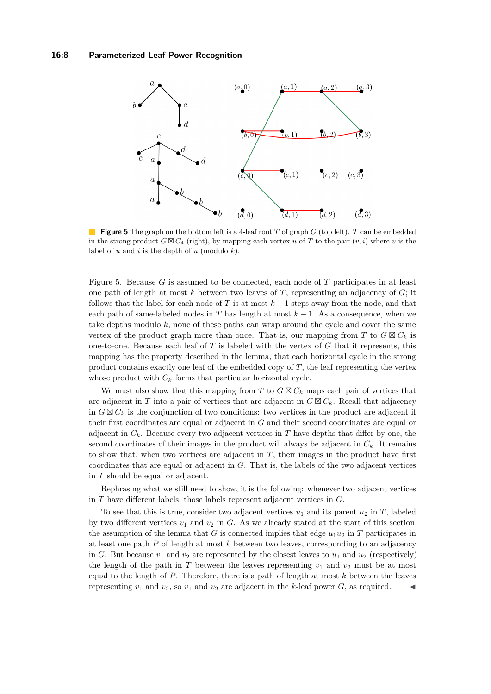<span id="page-7-0"></span>

**Figure 5** The graph on the bottom left is a 4-leaf root *T* of graph *G* (top left). *T* can be embedded in the strong product  $G \boxtimes C_4$  (right), by mapping each vertex *u* of *T* to the pair  $(v, i)$  where *v* is the label of *u* and *i* is the depth of *u* (modulo *k*).

[Figure 5.](#page-7-0) Because *G* is assumed to be connected, each node of *T* participates in at least one path of length at most  $k$  between two leaves of  $T$ , representing an adjacency of  $G$ ; it follows that the label for each node of *T* is at most  $k-1$  steps away from the node, and that each path of same-labeled nodes in *T* has length at most  $k-1$ . As a consequence, when we take depths modulo  $k$ , none of these paths can wrap around the cycle and cover the same vertex of the product graph more than once. That is, our mapping from *T* to  $G \boxtimes C_k$  is one-to-one. Because each leaf of *T* is labeled with the vertex of *G* that it represents, this mapping has the property described in the lemma, that each horizontal cycle in the strong product contains exactly one leaf of the embedded copy of *T*, the leaf representing the vertex whose product with *C<sup>k</sup>* forms that particular horizontal cycle.

We must also show that this mapping from  $T$  to  $G \boxtimes C_k$  maps each pair of vertices that are adjacent in *T* into a pair of vertices that are adjacent in  $G \boxtimes C_k$ . Recall that adjacency in  $G \boxtimes C_k$  is the conjunction of two conditions: two vertices in the product are adjacent if their first coordinates are equal or adjacent in *G* and their second coordinates are equal or adjacent in  $C_k$ . Because every two adjacent vertices in  $T$  have depths that differ by one, the second coordinates of their images in the product will always be adjacent in *Ck*. It remains to show that, when two vertices are adjacent in  $T$ , their images in the product have first coordinates that are equal or adjacent in *G*. That is, the labels of the two adjacent vertices in *T* should be equal or adjacent.

Rephrasing what we still need to show, it is the following: whenever two adjacent vertices in *T* have different labels, those labels represent adjacent vertices in *G*.

To see that this is true, consider two adjacent vertices  $u_1$  and its parent  $u_2$  in  $T$ , labeled by two different vertices  $v_1$  and  $v_2$  in  $G$ . As we already stated at the start of this section, the assumption of the lemma that *G* is connected implies that edge  $u_1u_2$  in *T* participates in at least one path *P* of length at most *k* between two leaves, corresponding to an adjacency in *G*. But because  $v_1$  and  $v_2$  are represented by the closest leaves to  $u_1$  and  $u_2$  (respectively) the length of the path in *T* between the leaves representing  $v_1$  and  $v_2$  must be at most equal to the length of  $P$ . Therefore, there is a path of length at most  $k$  between the leaves representing  $v_1$  and  $v_2$ , so  $v_1$  and  $v_2$  are adjacent in the *k*-leaf power  $G$ , as required.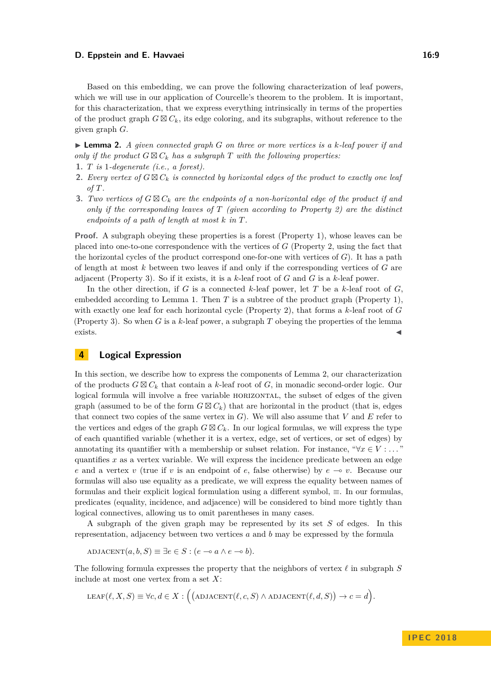#### **D. Eppstein and E. Havvaei 16:9 16:9**

Based on this embedding, we can prove the following characterization of leaf powers, which we will use in our application of Courcelle's theorem to the problem. It is important, for this characterization, that we express everything intrinsically in terms of the properties of the product graph  $G \boxtimes C_k$ , its edge coloring, and its subgraphs, without reference to the given graph *G*.

<span id="page-8-3"></span>I **Lemma 2.** *A given connected graph G on three or more vertices is a k-leaf power if and only if the product*  $G \boxtimes C_k$  *has a subgraph*  $T$  *with the following properties:* 

- <span id="page-8-1"></span>**1.** *T is* 1*-degenerate (i.e., a forest).*
- <span id="page-8-0"></span>**2.** *Every vertex of*  $G \boxtimes C_k$  *is connected by horizontal edges of the product to exactly one leaf of T.*
- <span id="page-8-2"></span>**3.** *Two vertices of*  $G \boxtimes C_k$  *are the endpoints of a non-horizontal edge of the product if and only if the corresponding leaves of T (given according to Property [2\)](#page-8-0) are the distinct endpoints of a path of length at most k in T.*

**Proof.** A subgraph obeying these properties is a forest (Property [1\)](#page-8-1), whose leaves can be placed into one-to-one correspondence with the vertices of *G* (Property [2,](#page-8-0) using the fact that the horizontal cycles of the product correspond one-for-one with vertices of *G*). It has a path of length at most *k* between two leaves if and only if the corresponding vertices of *G* are adjacent (Property [3\)](#page-8-2). So if it exists, it is a *k*-leaf root of *G* and *G* is a *k*-leaf power.

In the other direction, if *G* is a connected *k*-leaf power, let *T* be a *k*-leaf root of *G*, embedded according to [Lemma 1.](#page-6-1) Then *T* is a subtree of the product graph (Property [1\)](#page-8-1), with exactly one leaf for each horizontal cycle (Property [2\)](#page-8-0), that forms a *k*-leaf root of *G* (Property [3\)](#page-8-2). So when *G* is a *k*-leaf power, a subgraph *T* obeying the properties of the lemma exists.

# **4 Logical Expression**

In this section, we describe how to express the components of [Lemma 2,](#page-8-3) our characterization of the products  $G \boxtimes C_k$  that contain a *k*-leaf root of *G*, in monadic second-order logic. Our logical formula will involve a free variable HORIZONTAL, the subset of edges of the given graph (assumed to be of the form  $G \boxtimes C_k$ ) that are horizontal in the product (that is, edges that connect two copies of the same vertex in *G*). We will also assume that *V* and *E* refer to the vertices and edges of the graph  $G \boxtimes C_k$ . In our logical formulas, we will express the type of each quantified variable (whether it is a vertex, edge, set of vertices, or set of edges) by annotating its quantifier with a membership or subset relation. For instance, " $\forall x \in V : \dots$ " quantifies *x* as a vertex variable. We will express the incidence predicate between an edge *e* and a vertex *v* (true if *v* is an endpoint of *e*, false otherwise) by  $e \rightarrow v$ . Because our formulas will also use equality as a predicate, we will express the equality between names of formulas and their explicit logical formulation using a different symbol, ≡. In our formulas, predicates (equality, incidence, and adjacence) will be considered to bind more tightly than logical connectives, allowing us to omit parentheses in many cases.

A subgraph of the given graph may be represented by its set *S* of edges. In this representation, adjacency between two vertices *a* and *b* may be expressed by the formula

ADJACENT
$$
(a, b, S) \equiv \exists e \in S : (e \multimap a \land e \multimap b).
$$

The following formula expresses the property that the neighbors of vertex  $\ell$  in subgraph  $S$ include at most one vertex from a set *X*:

$$
\text{LEAF}(\ell, X, S) \equiv \forall c, d \in X : \Big(\big(\text{ADJACENT}(\ell, c, S) \land \text{ADJACENT}(\ell, d, S)\big) \to c = d\Big).
$$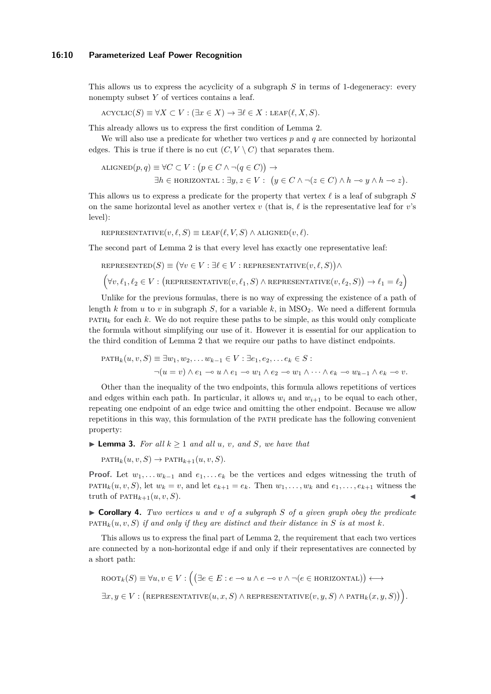#### **16:10 Parameterized Leaf Power Recognition**

This allows us to express the acyclicity of a subgraph *S* in terms of 1-degeneracy: every nonempty subset *Y* of vertices contains a leaf.

$$
\text{ACYCLIC}(S) \equiv \forall X \subset V : (\exists x \in X) \to \exists \ell \in X : \text{LEAF}(\ell, X, S).
$$

This already allows us to express the first condition of [Lemma 2.](#page-8-3)

We will also use a predicate for whether two vertices  $p$  and  $q$  are connected by horizontal edges. This is true if there is no cut  $(C, V \setminus C)$  that separates them.

ALIGNED
$$
(p, q) \equiv \forall C \subset V : (p \in C \land \neg (q \in C)) \rightarrow
$$
  
\n $\exists h \in \text{HORIZONTAL} : \exists y, z \in V : (y \in C \land \neg (z \in C) \land h \rightarrow y \land h \rightarrow z).$ 

This allows us to express a predicate for the property that vertex  $\ell$  is a leaf of subgraph  $S$ on the same horizontal level as another vertex  $v$  (that is,  $\ell$  is the representative leaf for  $v$ 's level):

 $REPRESENTATIVE(v, \ell, S) \equiv LEAF(\ell, V, S) \wedge ALIGNED(v, \ell).$ 

The second part of [Lemma 2](#page-8-3) is that every level has exactly one representative leaf:

REPRESENTED
$$
(S) \equiv (\forall v \in V : \exists \ell \in V : REPRESENTATIVE(v, \ell, S)) \wedge
$$

$$
(\forall v, \ell_1, \ell_2 \in V : (\text{representer}(v, \ell_1, S) \land \text{representer}(v, \ell_2, S)) \to \ell_1 = \ell_2)
$$

 $\lambda$ 

Unlike for the previous formulas, there is no way of expressing the existence of a path of length  $k$  from  $u$  to  $v$  in subgraph  $S$ , for a variable  $k$ , in MSO<sub>2</sub>. We need a different formula  $PATH_k$  for each k. We do not require these paths to be simple, as this would only complicate the formula without simplifying our use of it. However it is essential for our application to the third condition of [Lemma 2](#page-8-3) that we require our paths to have distinct endpoints.

$$
\begin{aligned} \text{PATH}_k(u, v, S) &\equiv \exists w_1, w_2, \dots w_{k-1} \in V : \exists e_1, e_2, \dots e_k \in S : \\ \neg(u = v) \land e_1 &\rightarrow u \land e_1 \rightarrow w_1 \land e_2 \rightarrow w_1 \land \dots \land e_k \rightarrow w_{k-1} \land e_k \rightarrow v. \end{aligned}
$$

Other than the inequality of the two endpoints, this formula allows repetitions of vertices and edges within each path. In particular, it allows  $w_i$  and  $w_{i+1}$  to be equal to each other, repeating one endpoint of an edge twice and omitting the other endpoint. Because we allow repetitions in this way, this formulation of the path predicate has the following convenient property:

 $\blacktriangleright$  **Lemma 3.** For all  $k \geq 1$  and all  $u, v,$  and  $S$ , we have that

 $\text{PATH}_k(u, v, S) \rightarrow \text{PATH}_{k+1}(u, v, S)$ .

**Proof.** Let  $w_1, \ldots, w_{k-1}$  and  $e_1, \ldots, e_k$  be the vertices and edges witnessing the truth of parth<sub>k</sub> $(u, v, S)$ , let  $w_k = v$ , and let  $e_{k+1} = e_k$ . Then  $w_1, \ldots, w_k$  and  $e_1, \ldots, e_{k+1}$  witness the truth of  $\text{PATH}_{k+1}(u, v, S)$ .

 $\triangleright$  **Corollary 4.** *Two vertices u* and *v* of a subgraph *S* of a given graph obey the predicate  $\text{PATH}_k(u, v, S)$  *if and only if they are distinct and their distance in S is at most k.* 

This allows us to express the final part of [Lemma 2,](#page-8-3) the requirement that each two vertices are connected by a non-horizontal edge if and only if their representatives are connected by a short path:

$$
\text{ROOT}_k(S) \equiv \forall u, v \in V : \Big( \big(\exists e \in E : e \multimap u \land e \multimap v \land \neg(e \in \text{HORIZONTAL}) \big) \longleftrightarrow \\ \exists x, y \in V : \big(\text{REPRESENTATIVE}(u, x, S) \land \text{REPRESENTATIVE}(v, y, S) \land \text{PATH}_k(x, y, S)\big)\Big).
$$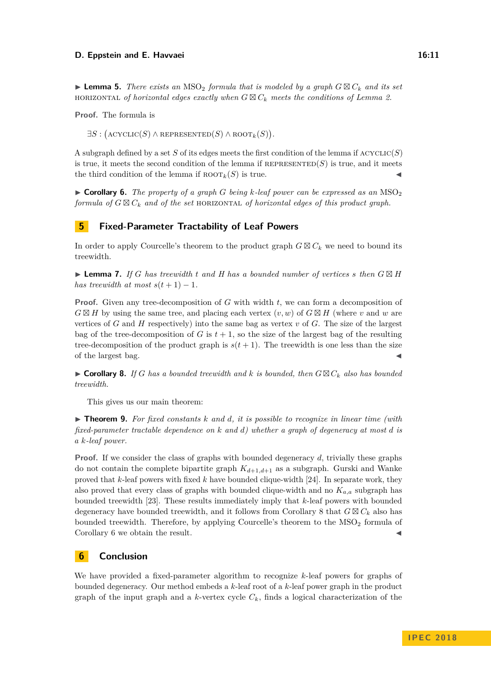#### **D. Eppstein and E. Havvaei 16:11 16:11**

<span id="page-10-2"></span>**Example 1** Lemma 5. There exists an  $MSO_2$  formula that is modeled by a graph  $G \boxtimes C_k$  and its set  $HORIZONTAL$  *of horizontal edges exactly when*  $G \boxtimes C_k$  *meets the conditions of [Lemma 2.](#page-8-3)* 

**Proof.** The formula is

 $\exists S: (\text{ACYCLIC}(S) \wedge \text{REPRESENTED}(S) \wedge \text{ROOT}_k(S)).$ 

A subgraph defined by a set *S* of its edges meets the first condition of the lemma if  $\text{ACYCLIC}(S)$ is true, it meets the second condition of the lemma if  $REPRESENTED(S)$  is true, and it meets the third condition of the lemma if  $\text{roor}_k(S)$  is true.

<span id="page-10-1"></span> $\triangleright$  **Corollary 6.** *The property of a graph G being k*-leaf power can be expressed as an  $\text{MSO}_2$  $formula of G \boxtimes C_k and of the set HORIZONTAL of horizontal edges of this product graph.$ 

# **5 Fixed-Parameter Tractability of Leaf Powers**

In order to apply Courcelle's theorem to the product graph  $G \boxtimes C_k$  we need to bound its treewidth.

 $\blacktriangleright$  **Lemma 7.** *If G has treewidth t and H has a bounded number of vertices <i>s then*  $G \boxtimes H$ *has treewidth at most*  $s(t+1) - 1$ .

**Proof.** Given any tree-decomposition of *G* with width *t*, we can form a decomposition of  $G \boxtimes H$  by using the same tree, and placing each vertex  $(v, w)$  of  $G \boxtimes H$  (where *v* and *w* are vertices of *G* and *H* respectively) into the same bag as vertex *v* of *G*. The size of the largest bag of the tree-decomposition of *G* is  $t + 1$ , so the size of the largest bag of the resulting tree-decomposition of the product graph is  $s(t + 1)$ . The treewidth is one less than the size of the largest bag.

<span id="page-10-0"></span> $\triangleright$  **Corollary 8.** *If G has a bounded treewidth and k is bounded, then*  $G \boxtimes C_k$  *also has bounded treewidth.*

This gives us our main theorem:

 $\triangleright$  **Theorem 9.** For fixed constants k and d, it is possible to recognize in linear time (with *fixed-parameter tractable dependence on k and d) whether a graph of degeneracy at most d is a k-leaf power.*

**Proof.** If we consider the class of graphs with bounded degeneracy *d*, trivially these graphs do not contain the complete bipartite graph *Kd*+1*,d*+1 as a subgraph. Gurski and Wanke proved that *k*-leaf powers with fixed *k* have bounded clique-width [\[24\]](#page-12-2). In separate work, they also proved that every class of graphs with bounded clique-width and no *Ka,a* subgraph has bounded treewidth [\[23\]](#page-12-9). These results immediately imply that *k*-leaf powers with bounded degeneracy have bounded treewidth, and it follows from [Corollary 8](#page-10-0) that  $G \boxtimes C_k$  also has bounded treewidth. Therefore, by applying Courcelle's theorem to the  $\text{MSO}_2$  formula of [Corollary 6](#page-10-1) we obtain the result.

# **6 Conclusion**

We have provided a fixed-parameter algorithm to recognize *k*-leaf powers for graphs of bounded degeneracy. Our method embeds a *k*-leaf root of a *k*-leaf power graph in the product graph of the input graph and a *k*-vertex cycle  $C_k$ , finds a logical characterization of the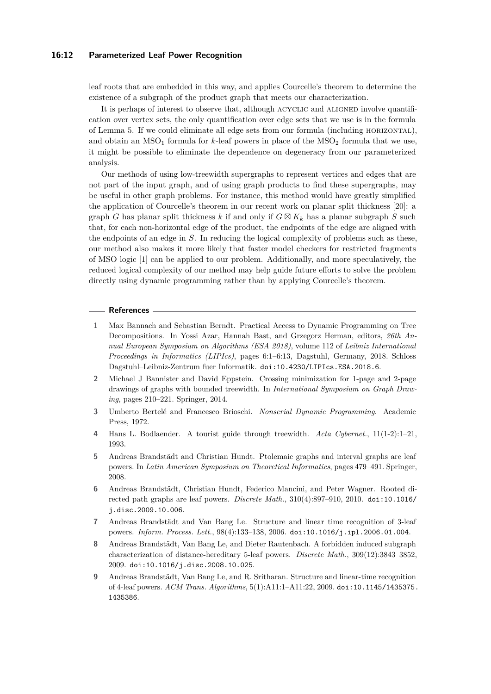#### **16:12 Parameterized Leaf Power Recognition**

leaf roots that are embedded in this way, and applies Courcelle's theorem to determine the existence of a subgraph of the product graph that meets our characterization.

It is perhaps of interest to observe that, although acyclic and aligned involve quantification over vertex sets, the only quantification over edge sets that we use is in the formula of [Lemma 5.](#page-10-2) If we could eliminate all edge sets from our formula (including HORIZONTAL), and obtain an  $MSO<sub>1</sub>$  formula for *k*-leaf powers in place of the  $MSO<sub>2</sub>$  formula that we use, it might be possible to eliminate the dependence on degeneracy from our parameterized analysis.

Our methods of using low-treewidth supergraphs to represent vertices and edges that are not part of the input graph, and of using graph products to find these supergraphs, may be useful in other graph problems. For instance, this method would have greatly simplified the application of Courcelle's theorem in our recent work on planar split thickness [\[20\]](#page-12-15): a  $\text{graph } G$  has planar split thickness  $k$  if and only if  $G \boxtimes K_k$  has a planar subgraph  $S$  such that, for each non-horizontal edge of the product, the endpoints of the edge are aligned with the endpoints of an edge in *S*. In reducing the logical complexity of problems such as these, our method also makes it more likely that faster model checkers for restricted fragments of MSO logic [\[1\]](#page-11-8) can be applied to our problem. Additionally, and more speculatively, the reduced logical complexity of our method may help guide future efforts to solve the problem directly using dynamic programming rather than by applying Courcelle's theorem.

#### **References**

- <span id="page-11-8"></span>**1** Max Bannach and Sebastian Berndt. Practical Access to Dynamic Programming on Tree Decompositions. In Yossi Azar, Hannah Bast, and Grzegorz Herman, editors, *26th Annual European Symposium on Algorithms (ESA 2018)*, volume 112 of *Leibniz International Proceedings in Informatics (LIPIcs)*, pages 6:1–6:13, Dagstuhl, Germany, 2018. Schloss Dagstuhl–Leibniz-Zentrum fuer Informatik. [doi:10.4230/LIPIcs.ESA.2018.6](http://dx.doi.org/10.4230/LIPIcs.ESA.2018.6).
- <span id="page-11-7"></span>**2** Michael J Bannister and David Eppstein. Crossing minimization for 1-page and 2-page drawings of graphs with bounded treewidth. In *International Symposium on Graph Drawing*, pages 210–221. Springer, 2014.
- <span id="page-11-3"></span>**3** Umberto Bertelé and Francesco Brioschi. *Nonserial Dynamic Programming*. Academic Press, 1972.
- <span id="page-11-4"></span>**4** Hans L. Bodlaender. A tourist guide through treewidth. *Acta Cybernet.*, 11(1-2):1–21, 1993.
- <span id="page-11-5"></span>**5** Andreas Brandstädt and Christian Hundt. Ptolemaic graphs and interval graphs are leaf powers. In *Latin American Symposium on Theoretical Informatics*, pages 479–491. Springer, 2008.
- <span id="page-11-6"></span>**6** Andreas Brandstädt, Christian Hundt, Federico Mancini, and Peter Wagner. Rooted directed path graphs are leaf powers. *Discrete Math.*, 310(4):897–910, 2010. [doi:10.1016/](http://dx.doi.org/10.1016/j.disc.2009.10.006) [j.disc.2009.10.006](http://dx.doi.org/10.1016/j.disc.2009.10.006).
- <span id="page-11-0"></span>**7** Andreas Brandstädt and Van Bang Le. Structure and linear time recognition of 3-leaf powers. *Inform. Process. Lett.*, 98(4):133–138, 2006. [doi:10.1016/j.ipl.2006.01.004](http://dx.doi.org/10.1016/j.ipl.2006.01.004).
- <span id="page-11-2"></span>**8** Andreas Brandstädt, Van Bang Le, and Dieter Rautenbach. A forbidden induced subgraph characterization of distance-hereditary 5-leaf powers. *Discrete Math.*, 309(12):3843–3852, 2009. [doi:10.1016/j.disc.2008.10.025](http://dx.doi.org/10.1016/j.disc.2008.10.025).
- <span id="page-11-1"></span>**9** Andreas Brandstädt, Van Bang Le, and R. Sritharan. Structure and linear-time recognition of 4-leaf powers. *ACM Trans. Algorithms*, 5(1):A11:1–A11:22, 2009. [doi:10.1145/1435375.](http://dx.doi.org/10.1145/1435375.1435386) [1435386](http://dx.doi.org/10.1145/1435375.1435386).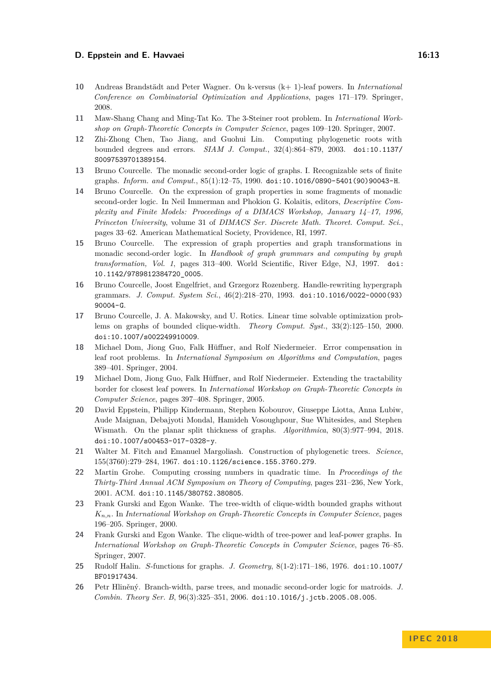#### **D. Eppstein and E. Havvaei 16:13 16:13**

- <span id="page-12-7"></span>**10** Andreas Brandstädt and Peter Wagner. On k-versus (k+ 1)-leaf powers. In *International Conference on Combinatorial Optimization and Applications*, pages 171–179. Springer, 2008.
- <span id="page-12-6"></span>**11** Maw-Shang Chang and Ming-Tat Ko. The 3-Steiner root problem. In *International Workshop on Graph-Theoretic Concepts in Computer Science*, pages 109–120. Springer, 2007.
- <span id="page-12-0"></span>**12** Zhi-Zhong Chen, Tao Jiang, and Guohui Lin. Computing phylogenetic roots with bounded degrees and errors. *SIAM J. Comput.*, 32(4):864–879, 2003. [doi:10.1137/](http://dx.doi.org/10.1137/S0097539701389154) [S0097539701389154](http://dx.doi.org/10.1137/S0097539701389154).
- <span id="page-12-12"></span>**13** Bruno Courcelle. The monadic second-order logic of graphs. I. Recognizable sets of finite graphs. *Inform. and Comput.*, 85(1):12–75, 1990. [doi:10.1016/0890-5401\(90\)90043-H](http://dx.doi.org/10.1016/0890-5401(90)90043-H).
- <span id="page-12-11"></span>**14** Bruno Courcelle. On the expression of graph properties in some fragments of monadic second-order logic. In Neil Immerman and Phokion G. Kolaitis, editors, *Descriptive Complexity and Finite Models: Proceedings of a DIMACS Workshop, January 14–17, 1996, Princeton University*, volume 31 of *DIMACS Ser. Discrete Math. Theoret. Comput. Sci.*, pages 33–62. American Mathematical Society, Providence, RI, 1997.
- <span id="page-12-10"></span>**15** Bruno Courcelle. The expression of graph properties and graph transformations in monadic second-order logic. In *Handbook of graph grammars and computing by graph transformation, Vol. 1*, pages 313–400. World Scientific, River Edge, NJ, 1997. [doi:](http://dx.doi.org/10.1142/9789812384720_0005) [10.1142/9789812384720\\_0005](http://dx.doi.org/10.1142/9789812384720_0005).
- <span id="page-12-3"></span>**16** Bruno Courcelle, Joost Engelfriet, and Grzegorz Rozenberg. Handle-rewriting hypergraph grammars. *J. Comput. System Sci.*, 46(2):218–270, 1993. [doi:10.1016/0022-0000\(93\)](http://dx.doi.org/10.1016/0022-0000(93)90004-G)  $90004 - G.$
- <span id="page-12-13"></span>**17** Bruno Courcelle, J. A. Makowsky, and U. Rotics. Linear time solvable optimization problems on graphs of bounded clique-width. *Theory Comput. Syst.*, 33(2):125–150, 2000. [doi:10.1007/s002249910009](http://dx.doi.org/10.1007/s002249910009).
- <span id="page-12-4"></span>**18** Michael Dom, Jiong Guo, Falk Hüffner, and Rolf Niedermeier. Error compensation in leaf root problems. In *International Symposium on Algorithms and Computation*, pages 389–401. Springer, 2004.
- <span id="page-12-5"></span>**19** Michael Dom, Jiong Guo, Falk Hüffner, and Rolf Niedermeier. Extending the tractability border for closest leaf powers. In *International Workshop on Graph-Theoretic Concepts in Computer Science*, pages 397–408. Springer, 2005.
- <span id="page-12-15"></span>**20** David Eppstein, Philipp Kindermann, Stephen Kobourov, Giuseppe Liotta, Anna Lubiw, Aude Maignan, Debajyoti Mondal, Hamideh Vosoughpour, Sue Whitesides, and Stephen Wismath. On the planar split thickness of graphs. *Algorithmica*, 80(3):977–994, 2018. [doi:10.1007/s00453-017-0328-y](http://dx.doi.org/10.1007/s00453-017-0328-y).
- <span id="page-12-1"></span>**21** Walter M. Fitch and Emanuel Margoliash. Construction of phylogenetic trees. *Science*, 155(3760):279–284, 1967. [doi:10.1126/science.155.3760.279](http://dx.doi.org/10.1126/science.155.3760.279).
- <span id="page-12-14"></span>**22** Martin Grohe. Computing crossing numbers in quadratic time. In *Proceedings of the Thirty-Third Annual ACM Symposium on Theory of Computing*, pages 231–236, New York, 2001. ACM. [doi:10.1145/380752.380805](http://dx.doi.org/10.1145/380752.380805).
- <span id="page-12-9"></span>**23** Frank Gurski and Egon Wanke. The tree-width of clique-width bounded graphs without *Kn,n*. In *International Workshop on Graph-Theoretic Concepts in Computer Science*, pages 196–205. Springer, 2000.
- <span id="page-12-2"></span>**24** Frank Gurski and Egon Wanke. The clique-width of tree-power and leaf-power graphs. In *International Workshop on Graph-Theoretic Concepts in Computer Science*, pages 76–85. Springer, 2007.
- <span id="page-12-8"></span>**25** Rudolf Halin. *S*-functions for graphs. *J. Geometry*, 8(1-2):171–186, 1976. [doi:10.1007/](http://dx.doi.org/10.1007/BF01917434) [BF01917434](http://dx.doi.org/10.1007/BF01917434).
- <span id="page-12-16"></span>**26** Petr Hliněný. Branch-width, parse trees, and monadic second-order logic for matroids. *J. Combin. Theory Ser. B*, 96(3):325–351, 2006. [doi:10.1016/j.jctb.2005.08.005](http://dx.doi.org/10.1016/j.jctb.2005.08.005).